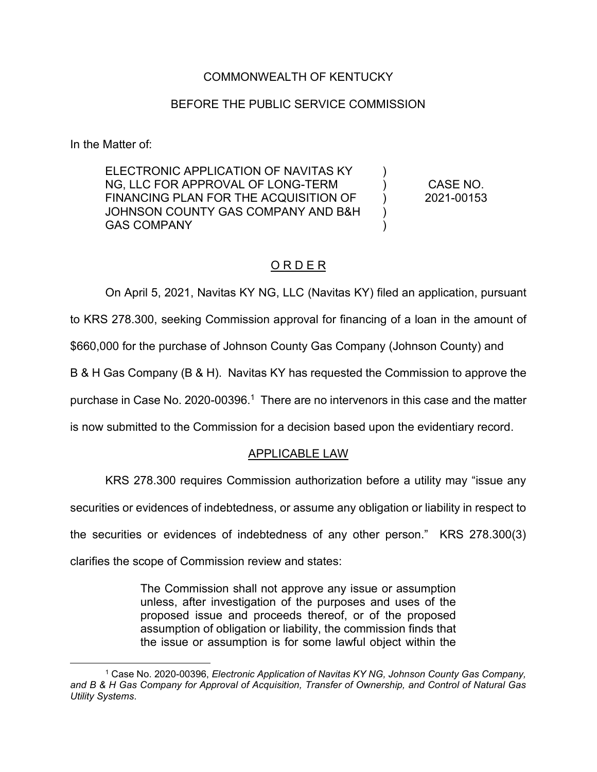#### COMMONWEALTH OF KENTUCKY

#### BEFORE THE PUBLIC SERVICE COMMISSION

In the Matter of:

ELECTRONIC APPLICATION OF NAVITAS KY NG, LLC FOR APPROVAL OF LONG-TERM FINANCING PLAN FOR THE ACQUISITION OF JOHNSON COUNTY GAS COMPANY AND B&H GAS COMPANY )  $\lambda$ ) ) ) CASE NO. 2021-00153

## O R D E R

On April 5, 2021, Navitas KY NG, LLC (Navitas KY) filed an application, pursuant to KRS 278.300, seeking Commission approval for financing of a loan in the amount of \$660,000 for the purchase of Johnson County Gas Company (Johnson County) and B & H Gas Company (B & H). Navitas KY has requested the Commission to approve the purchase in Case No. 2020-00396.<sup>1</sup> There are no intervenors in this case and the matter is now submitted to the Commission for a decision based upon the evidentiary record.

## APPLICABLE LAW

KRS 278.300 requires Commission authorization before a utility may "issue any

securities or evidences of indebtedness, or assume any obligation or liability in respect to

the securities or evidences of indebtedness of any other person." KRS 278.300(3)

clarifies the scope of Commission review and states:

The Commission shall not approve any issue or assumption unless, after investigation of the purposes and uses of the proposed issue and proceeds thereof, or of the proposed assumption of obligation or liability, the commission finds that the issue or assumption is for some lawful object within the

<sup>1</sup> Case No. 2020-00396, *Electronic Application of Navitas KY NG, Johnson County Gas Company, and B & H Gas Company for Approval of Acquisition, Transfer of Ownership, and Control of Natural Gas Utility Systems*.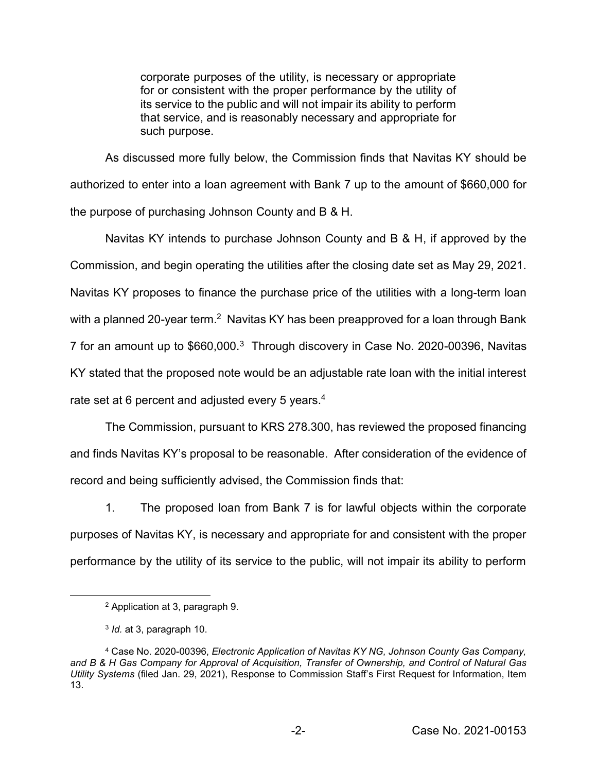corporate purposes of the utility, is necessary or appropriate for or consistent with the proper performance by the utility of its service to the public and will not impair its ability to perform that service, and is reasonably necessary and appropriate for such purpose.

As discussed more fully below, the Commission finds that Navitas KY should be authorized to enter into a loan agreement with Bank 7 up to the amount of \$660,000 for the purpose of purchasing Johnson County and B & H.

Navitas KY intends to purchase Johnson County and B & H, if approved by the Commission, and begin operating the utilities after the closing date set as May 29, 2021. Navitas KY proposes to finance the purchase price of the utilities with a long-term loan with a planned 20-year term.<sup>2</sup> Navitas KY has been preapproved for a loan through Bank 7 for an amount up to \$660,000.3 Through discovery in Case No. 2020-00396, Navitas KY stated that the proposed note would be an adjustable rate loan with the initial interest rate set at 6 percent and adjusted every 5 years.<sup>4</sup>

The Commission, pursuant to KRS 278.300, has reviewed the proposed financing and finds Navitas KY's proposal to be reasonable. After consideration of the evidence of record and being sufficiently advised, the Commission finds that:

1. The proposed loan from Bank 7 is for lawful objects within the corporate purposes of Navitas KY, is necessary and appropriate for and consistent with the proper performance by the utility of its service to the public, will not impair its ability to perform

<sup>2</sup> Application at 3, paragraph 9.

<sup>3</sup> *Id.* at 3, paragraph 10.

<sup>4</sup> Case No. 2020-00396, *Electronic Application of Navitas KY NG, Johnson County Gas Company, and B & H Gas Company for Approval of Acquisition, Transfer of Ownership, and Control of Natural Gas Utility Systems* (filed Jan. 29, 2021), Response to Commission Staff's First Request for Information, Item 13.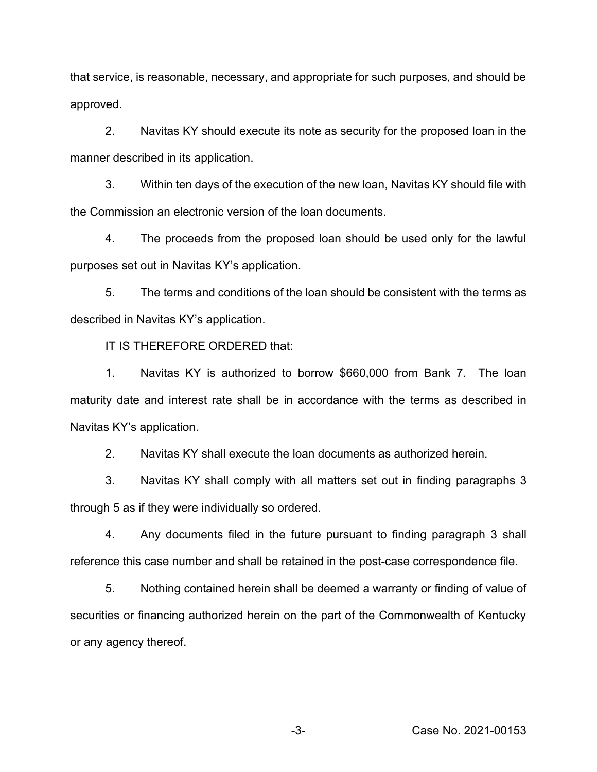that service, is reasonable, necessary, and appropriate for such purposes, and should be approved.

2. Navitas KY should execute its note as security for the proposed loan in the manner described in its application.

3. Within ten days of the execution of the new loan, Navitas KY should file with the Commission an electronic version of the loan documents.

4. The proceeds from the proposed loan should be used only for the lawful purposes set out in Navitas KY's application.

5. The terms and conditions of the loan should be consistent with the terms as described in Navitas KY's application.

IT IS THEREFORE ORDERED that:

1. Navitas KY is authorized to borrow \$660,000 from Bank 7. The loan maturity date and interest rate shall be in accordance with the terms as described in Navitas KY's application.

2. Navitas KY shall execute the loan documents as authorized herein.

3. Navitas KY shall comply with all matters set out in finding paragraphs 3 through 5 as if they were individually so ordered.

4. Any documents filed in the future pursuant to finding paragraph 3 shall reference this case number and shall be retained in the post-case correspondence file.

5. Nothing contained herein shall be deemed a warranty or finding of value of securities or financing authorized herein on the part of the Commonwealth of Kentucky or any agency thereof.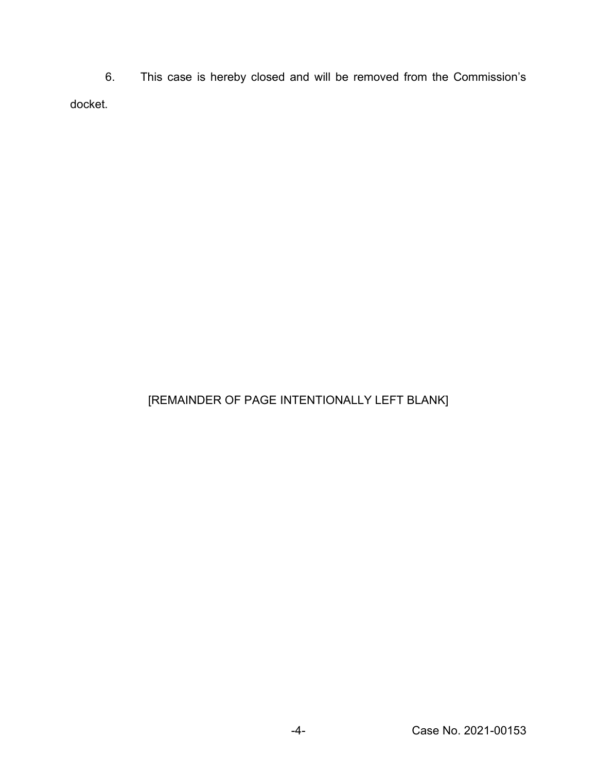6. This case is hereby closed and will be removed from the Commission's docket.

# [REMAINDER OF PAGE INTENTIONALLY LEFT BLANK]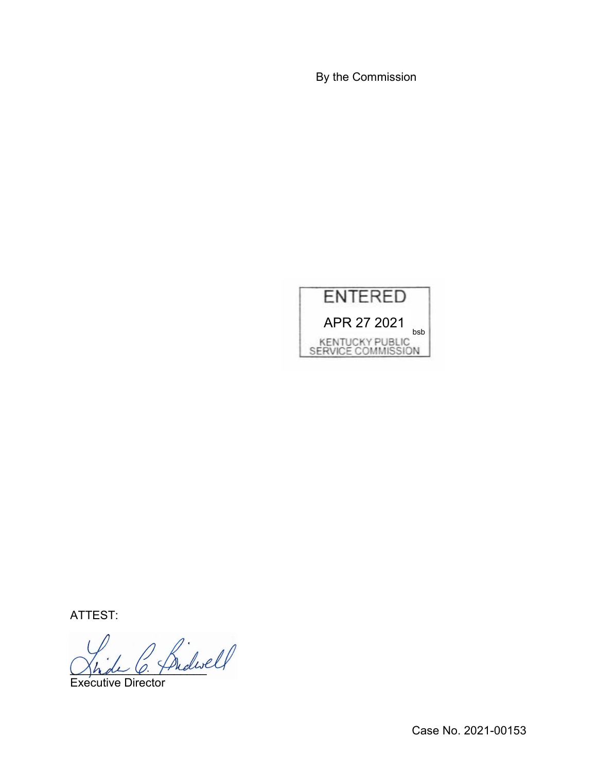By the Commission



ATTEST:

Shde O. Phelin

Executive Director

Case No. 2021-00153